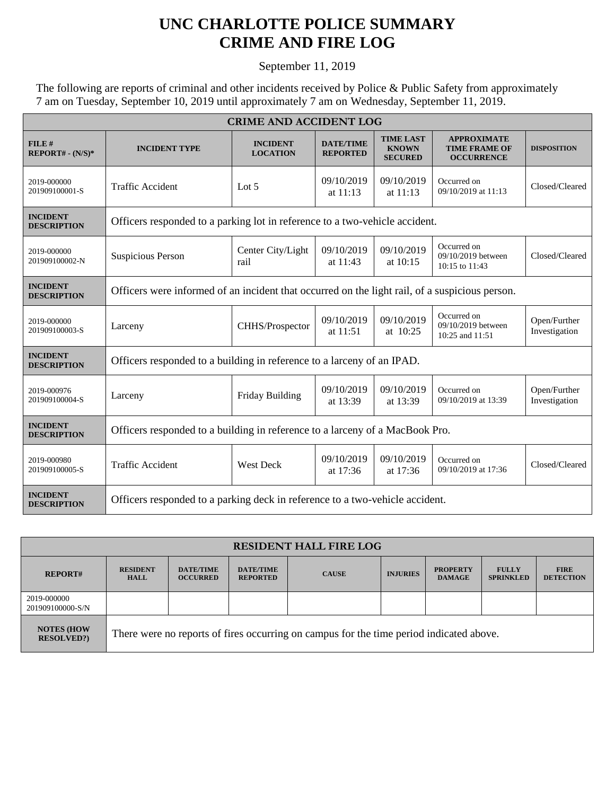## **UNC CHARLOTTE POLICE SUMMARY CRIME AND FIRE LOG**

September 11, 2019

The following are reports of criminal and other incidents received by Police & Public Safety from approximately 7 am on Tuesday, September 10, 2019 until approximately 7 am on Wednesday, September 11, 2019.

| <b>CRIME AND ACCIDENT LOG</b>         |                                                                                                |                                    |                                     |                                                    |                                                                 |                               |  |  |
|---------------------------------------|------------------------------------------------------------------------------------------------|------------------------------------|-------------------------------------|----------------------------------------------------|-----------------------------------------------------------------|-------------------------------|--|--|
| FILE#<br>$REPORT# - (N/S)*$           | <b>INCIDENT TYPE</b>                                                                           | <b>INCIDENT</b><br><b>LOCATION</b> | <b>DATE/TIME</b><br><b>REPORTED</b> | <b>TIME LAST</b><br><b>KNOWN</b><br><b>SECURED</b> | <b>APPROXIMATE</b><br><b>TIME FRAME OF</b><br><b>OCCURRENCE</b> | <b>DISPOSITION</b>            |  |  |
| 2019-000000<br>201909100001-S         | <b>Traffic Accident</b>                                                                        | Lot $5$                            | 09/10/2019<br>at 11:13              | 09/10/2019<br>at 11:13                             | Occurred on<br>09/10/2019 at 11:13                              | Closed/Cleared                |  |  |
| <b>INCIDENT</b><br><b>DESCRIPTION</b> | Officers responded to a parking lot in reference to a two-vehicle accident.                    |                                    |                                     |                                                    |                                                                 |                               |  |  |
| 2019-000000<br>201909100002-N         | <b>Suspicious Person</b>                                                                       | Center City/Light<br>rail          | 09/10/2019<br>at 11:43              | 09/10/2019<br>at $10:15$                           | Occurred on<br>09/10/2019 between<br>10:15 to 11:43             | Closed/Cleared                |  |  |
| <b>INCIDENT</b><br><b>DESCRIPTION</b> | Officers were informed of an incident that occurred on the light rail, of a suspicious person. |                                    |                                     |                                                    |                                                                 |                               |  |  |
| 2019-000000<br>201909100003-S         | Larceny                                                                                        | CHHS/Prospector                    | 09/10/2019<br>at 11:51              | 09/10/2019<br>at 10:25                             | Occurred on<br>09/10/2019 between<br>10:25 and 11:51            | Open/Further<br>Investigation |  |  |
| <b>INCIDENT</b><br><b>DESCRIPTION</b> | Officers responded to a building in reference to a larceny of an IPAD.                         |                                    |                                     |                                                    |                                                                 |                               |  |  |
| 2019-000976<br>201909100004-S         | Larceny                                                                                        | Friday Building                    | 09/10/2019<br>at 13:39              | 09/10/2019<br>at 13:39                             | Occurred on<br>09/10/2019 at 13:39                              | Open/Further<br>Investigation |  |  |
| <b>INCIDENT</b><br><b>DESCRIPTION</b> | Officers responded to a building in reference to a larceny of a MacBook Pro.                   |                                    |                                     |                                                    |                                                                 |                               |  |  |
| 2019-000980<br>201909100005-S         | <b>Traffic Accident</b>                                                                        | <b>West Deck</b>                   | 09/10/2019<br>at 17:36              | 09/10/2019<br>at 17:36                             | Occurred on<br>09/10/2019 at 17:36                              | Closed/Cleared                |  |  |
| <b>INCIDENT</b><br><b>DESCRIPTION</b> | Officers responded to a parking deck in reference to a two-vehicle accident.                   |                                    |                                     |                                                    |                                                                 |                               |  |  |

| <b>RESIDENT HALL FIRE LOG</b>          |                                                                                         |                                     |                                     |              |                 |                                  |                                  |                                 |
|----------------------------------------|-----------------------------------------------------------------------------------------|-------------------------------------|-------------------------------------|--------------|-----------------|----------------------------------|----------------------------------|---------------------------------|
| <b>REPORT#</b>                         | <b>RESIDENT</b><br><b>HALL</b>                                                          | <b>DATE/TIME</b><br><b>OCCURRED</b> | <b>DATE/TIME</b><br><b>REPORTED</b> | <b>CAUSE</b> | <b>INJURIES</b> | <b>PROPERTY</b><br><b>DAMAGE</b> | <b>FULLY</b><br><b>SPRINKLED</b> | <b>FIRE</b><br><b>DETECTION</b> |
| 2019-000000<br>201909100000-S/N        |                                                                                         |                                     |                                     |              |                 |                                  |                                  |                                 |
| <b>NOTES (HOW</b><br><b>RESOLVED?)</b> | There were no reports of fires occurring on campus for the time period indicated above. |                                     |                                     |              |                 |                                  |                                  |                                 |